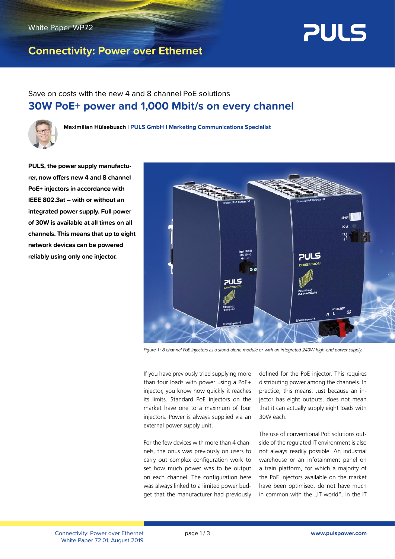

## **Connectivity: Power over Ethernet**



Save on costs with the new 4 and 8 channel PoE solutions **30W PoE+ power and 1,000 Mbit/s on every channel**



**Maximilian Hülsebusch** l **PULS GmbH I Marketing Communications Specialist**

**PULS, the power supply manufacturer, now offers new 4 and 8 channel PoE+ injectors in accordance with IEEE 802.3at – with or without an integrated power supply. Full power of 30W is available at all times on all channels. This means that up to eight network devices can be powered reliably using only one injector.**



*Figure 1: 8 channel PoE injectors as a stand-alone module or with an integrated 240W high-end power supply.*

If you have previously tried supplying more than four loads with power using a PoE+ injector, you know how quickly it reaches its limits. Standard PoE injectors on the market have one to a maximum of four injectors. Power is always supplied via an external power supply unit.

For the few devices with more than 4 channels, the onus was previously on users to carry out complex configuration work to set how much power was to be output on each channel. The configuration here was always linked to a limited power budget that the manufacturer had previously

defined for the PoE injector. This requires distributing power among the channels. In practice, this means: Just because an injector has eight outputs, does not mean that it can actually supply eight loads with 30W each.

The use of conventional PoE solutions outside of the regulated IT environment is also not always readily possible. An industrial warehouse or an infotainment panel on a train platform, for which a majority of the PoE injectors available on the market have been optimised, do not have much in common with the "IT world". In the IT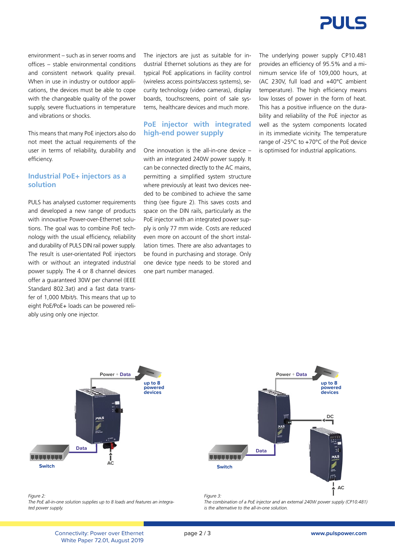

environment – such as in server rooms and offices – stable environmental conditions and consistent network quality prevail. When in use in industry or outdoor applications, the devices must be able to cope with the changeable quality of the power supply, severe fluctuations in temperature and vibrations or shocks.

This means that many PoE injectors also do not meet the actual requirements of the user in terms of reliability, durability and efficiency.

#### **Industrial PoE+ injectors as a solution**

PULS has analysed customer requirements and developed a new range of products with innovative Power-over-Ethernet solutions. The goal was to combine PoE technology with the usual efficiency, reliability and durability of PULS DIN rail power supply. The result is user-orientated PoE injectors with or without an integrated industrial power supply. The 4 or 8 channel devices offer a guaranteed 30W per channel (IEEE Standard 802.3at) and a fast data transfer of 1,000 Mbit/s. This means that up to eight PoE/PoE+ loads can be powered reliably using only one injector.

The injectors are just as suitable for industrial Ethernet solutions as they are for typical PoE applications in facility control (wireless access points/access systems), security technology (video cameras), display boards, touchscreens, point of sale systems, healthcare devices and much more.

#### **PoE injector with integrated high-end power supply**

One innovation is the all-in-one device – with an integrated 240W power supply. It can be connected directly to the AC mains, permitting a simplified system structure where previously at least two devices needed to be combined to achieve the same thing (see figure 2). This saves costs and space on the DIN rails, particularly as the PoE injector with an integrated power supply is only 77 mm wide. Costs are reduced even more on account of the short installation times. There are also advantages to be found in purchasing and storage. Only one device type needs to be stored and one part number managed.

The underlying power supply CP10.481 provides an efficiency of 95.5% and a minimum service life of 109,000 hours, at (AC 230V, full load and +40°C ambient temperature). The high efficiency means low losses of power in the form of heat. This has a positive influence on the durability and reliability of the PoE injector as well as the system components located in its immediate vicinity. The temperature range of -25°C to +70°C of the PoE device is optimised for industrial applications.



*Figure 2: The PoE all-in-one solution supplies up to 8 loads and features an integrated power supply.*



*The combination of a PoE injector and an external 240W power supply (CP10.481) is the alternative to the all-in-one solution.*